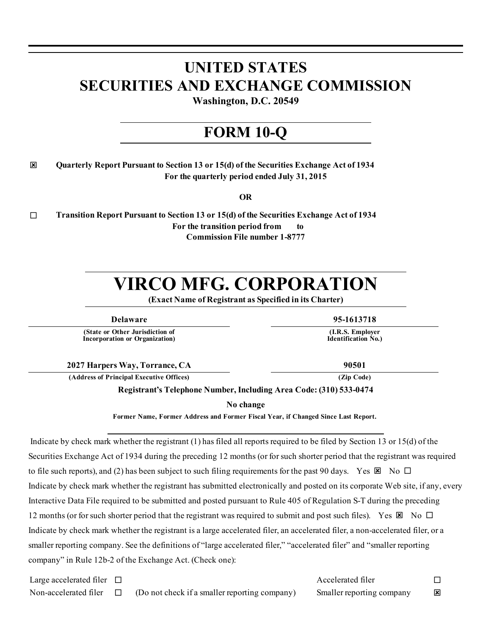# UNITED STATES SECURITIES AND EXCHANGE COMMISSION

Washington, D.C. 20549

## **FORM 10-Q**

#### Quarterly Report Pursuant to Section 13 or 15(d) of the Securities Exchange Act of 1934 For the quarterly period ended July 31, 2015

OR

**Transition Report Pursuant to Section 13 or 15(d) of the Securities Exchange Act of 1934** For the transition period from to **Commission File number 1-8777** 

# VIRCO MFG. CORPORATION

(Exact Name of Registrant as Specified in its Charter)

Delaware 951613718

(State or Other Jurisdiction of Incorporation or Organization)

2027 Harpers Way, Torrance, CA 90501

(Address of Principal Executive Offices) (Zip Code)

Registrant's Telephone Number, Including Area Code: (310) 533-0474

No change

Former Name, Former Address and Former Fiscal Year, if Changed Since Last Report.

Indicate by check mark whether the registrant (1) has filed all reports required to be filed by Section 13 or 15(d) of the Securities Exchange Act of 1934 during the preceding 12 months (or forsuch shorter period that the registrant was required to file such reports), and (2) has been subject to such filing requirements for the past 90 days. Yes  $\boxtimes$  No  $\square$ Indicate by check mark whether the registrant has submitted electronically and posted on its corporate Web site, if any, every Interactive Data File required to be submitted and posted pursuant to Rule 405 of Regulation S-T during the preceding 12 months (or for such shorter period that the registrant was required to submit and post such files). Yes  $\boxtimes$  No  $\square$ Indicate by check mark whether the registrant is a large accelerated filer, an accelerated filer, a non-accelerated filer, or a smaller reporting company. See the definitions of "large accelerated filer," "accelerated filer" and "smaller reporting company" in Rule 12b-2 of the Exchange Act. (Check one):

Non-accelerated filer  $\Box$  (Do not check if a smaller reporting company) Smaller reporting company  $\boxtimes$ 

Large accelerated filer  $\Box$ 

(I.R.S. Employer Identification No.)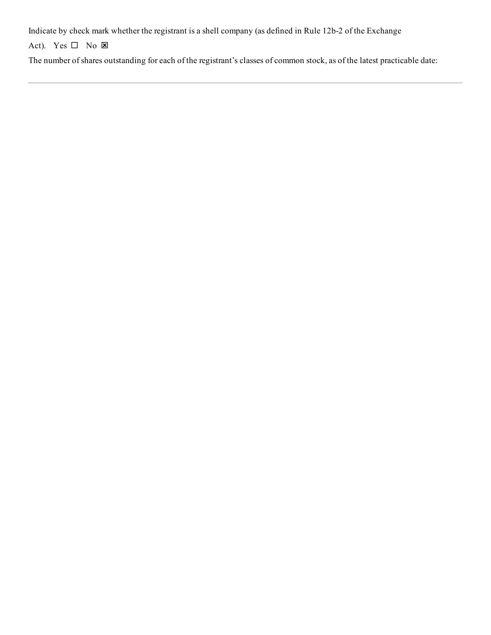Indicate by check mark whether the registrant is a shell company (as defined in Rule 12b-2 of the Exchange

Act). Yes  $\square$  No  $\boxtimes$ 

The number of shares outstanding for each of the registrant's classes of common stock, as of the latest practicable date: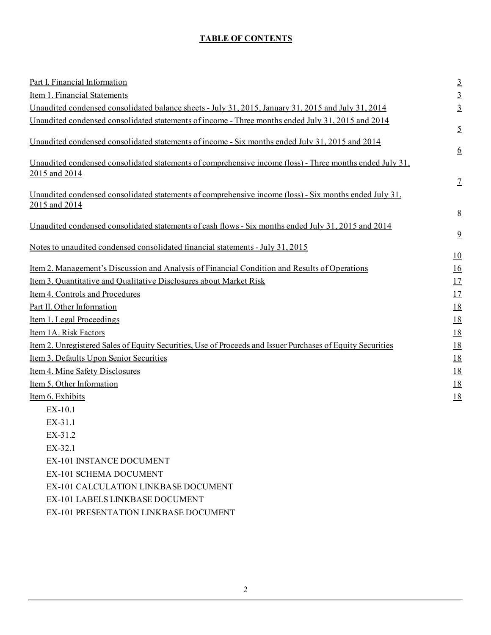## TABLE OF CONTENTS

| Part I. Financial Information                                                                                             | $\overline{3}$             |
|---------------------------------------------------------------------------------------------------------------------------|----------------------------|
| Item 1. Financial Statements                                                                                              | $\overline{3}$             |
| Unaudited condensed consolidated balance sheets - July 31, 2015, January 31, 2015 and July 31, 2014                       | $\overline{3}$             |
| Unaudited condensed consolidated statements of income - Three months ended July 31, 2015 and 2014                         |                            |
| Unaudited condensed consolidated statements of income - Six months ended July 31, 2015 and 2014                           | $\overline{5}$<br><u>6</u> |
| Unaudited condensed consolidated statements of comprehensive income (loss) - Three months ended July 31,<br>2015 and 2014 |                            |
| Unaudited condensed consolidated statements of comprehensive income (loss) - Six months ended July 31,<br>2015 and 2014   | $\overline{1}$             |
|                                                                                                                           | 8                          |
| Unaudited condensed consolidated statements of cash flows - Six months ended July 31, 2015 and 2014                       | $\overline{9}$             |
| Notes to unaudited condensed consolidated financial statements - July 31, 2015                                            |                            |
| <u>Item 2. Management's Discussion and Analysis of Financial Condition and Results of Operations</u>                      | 10<br><u>16</u>            |
| Item 3. Ouantitative and Oualitative Disclosures about Market Risk                                                        | 17                         |
| Item 4. Controls and Procedures                                                                                           | 17                         |
| Part II. Other Information                                                                                                | <u>18</u>                  |
| Item 1. Legal Proceedings                                                                                                 | <u>18</u>                  |
| Item 1A. Risk Factors                                                                                                     | <u>18</u>                  |
| <u>Item 2. Unregistered Sales of Equity Securities, Use of Proceeds and Issuer Purchases of Equity Securities</u>         | <u>18</u>                  |
| Item 3. Defaults Upon Senior Securities                                                                                   | <u>18</u>                  |
| Item 4. Mine Safety Disclosures                                                                                           | <u>18</u>                  |
| Item 5. Other Information                                                                                                 | <u>18</u>                  |
| Item 6. Exhibits                                                                                                          | 18                         |
| $EX-10.1$                                                                                                                 |                            |
| EX-31.1                                                                                                                   |                            |
| EX-31.2                                                                                                                   |                            |
| $EX-32.1$                                                                                                                 |                            |
| <b>EX-101 INSTANCE DOCUMENT</b>                                                                                           |                            |
| EX-101 SCHEMA DOCUMENT                                                                                                    |                            |
| <b>EX-101 CALCULATION LINKBASE DOCUMENT</b>                                                                               |                            |
| EX-101 LABELS LINKBASE DOCUMENT                                                                                           |                            |
|                                                                                                                           |                            |

EX101 PRESENTATION LINKBASE DOCUMENT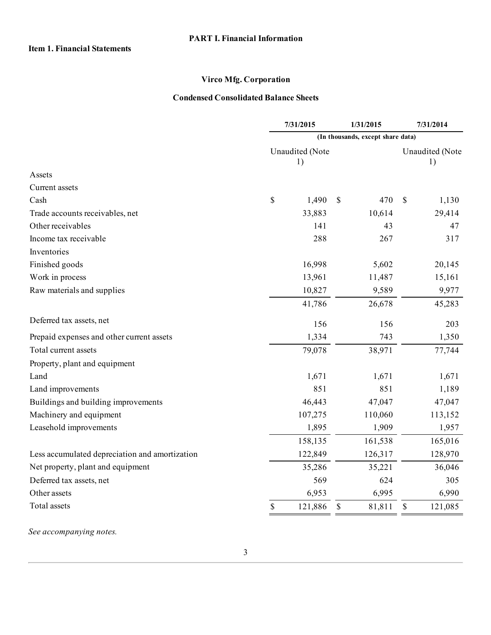#### Item 1. Financial Statements

### Virco Mfg. Corporation

## Condensed Consolidated Balance Sheets

|                                                |    | 7/31/2015                         | 1/31/2015    | 7/31/2014    |                       |  |  |
|------------------------------------------------|----|-----------------------------------|--------------|--------------|-----------------------|--|--|
|                                                |    | (In thousands, except share data) |              |              |                       |  |  |
|                                                |    | Unaudited (Note<br>1)             |              |              | Unaudited (Note<br>1) |  |  |
| Assets                                         |    |                                   |              |              |                       |  |  |
| Current assets                                 |    |                                   |              |              |                       |  |  |
| Cash                                           | \$ | 1,490                             | \$<br>470    | $\mathbb{S}$ | 1,130                 |  |  |
| Trade accounts receivables, net                |    | 33,883                            | 10,614       |              | 29,414                |  |  |
| Other receivables                              |    | 141                               | 43           |              | 47                    |  |  |
| Income tax receivable                          |    | 288                               | 267          |              | 317                   |  |  |
| Inventories                                    |    |                                   |              |              |                       |  |  |
| Finished goods                                 |    | 16,998                            | 5,602        |              | 20,145                |  |  |
| Work in process                                |    | 13,961                            | 11,487       |              | 15,161                |  |  |
| Raw materials and supplies                     |    | 10,827                            | 9,589        |              | 9,977                 |  |  |
|                                                |    | 41,786                            | 26,678       |              | 45,283                |  |  |
| Deferred tax assets, net                       |    | 156                               | 156          |              | 203                   |  |  |
| Prepaid expenses and other current assets      |    | 1,334                             | 743          |              | 1,350                 |  |  |
| Total current assets                           |    | 79,078                            | 38,971       |              | 77,744                |  |  |
| Property, plant and equipment                  |    |                                   |              |              |                       |  |  |
| Land                                           |    | 1,671                             | 1,671        |              | 1,671                 |  |  |
| Land improvements                              |    | 851                               | 851          |              | 1,189                 |  |  |
| Buildings and building improvements            |    | 46,443                            | 47,047       |              | 47,047                |  |  |
| Machinery and equipment                        |    | 107,275                           | 110,060      |              | 113,152               |  |  |
| Leasehold improvements                         |    | 1,895                             | 1,909        |              | 1,957                 |  |  |
|                                                |    | 158,135                           | 161,538      |              | 165,016               |  |  |
| Less accumulated depreciation and amortization |    | 122,849                           | 126,317      |              | 128,970               |  |  |
| Net property, plant and equipment              |    | 35,286                            | 35,221       |              | 36,046                |  |  |
| Deferred tax assets, net                       |    | 569                               | 624          |              | 305                   |  |  |
| Other assets                                   |    | 6,953                             | 6,995        |              | 6,990                 |  |  |
| Total assets                                   | \$ | 121,886                           | \$<br>81,811 | \$           | 121,085               |  |  |

See accompanying notes.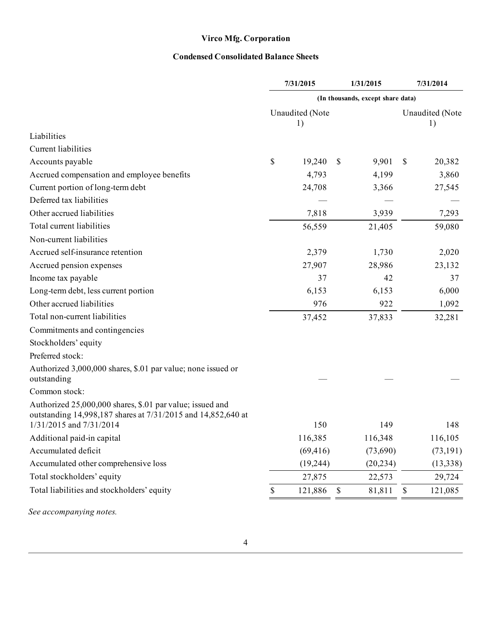#### Condensed Consolidated Balance Sheets

|                                                                                                                           |    | 7/31/2015                    | 1/31/2015                         |               | 7/31/2014             |
|---------------------------------------------------------------------------------------------------------------------------|----|------------------------------|-----------------------------------|---------------|-----------------------|
|                                                                                                                           |    |                              | (In thousands, except share data) |               |                       |
|                                                                                                                           |    | <b>Unaudited</b> (Note<br>1) |                                   |               | Unaudited (Note<br>1) |
| Liabilities                                                                                                               |    |                              |                                   |               |                       |
| Current liabilities                                                                                                       |    |                              |                                   |               |                       |
| Accounts payable                                                                                                          | \$ | 19,240                       | 9,901<br>\$                       | <sup>\$</sup> | 20,382                |
| Accrued compensation and employee benefits                                                                                |    | 4,793                        | 4,199                             |               | 3,860                 |
| Current portion of long-term debt                                                                                         |    | 24,708                       | 3,366                             |               | 27,545                |
| Deferred tax liabilities                                                                                                  |    |                              |                                   |               |                       |
| Other accrued liabilities                                                                                                 |    | 7,818                        | 3,939                             |               | 7,293                 |
| Total current liabilities                                                                                                 |    | 56,559                       | 21,405                            |               | 59,080                |
| Non-current liabilities                                                                                                   |    |                              |                                   |               |                       |
| Accrued self-insurance retention                                                                                          |    | 2,379                        | 1,730                             |               | 2,020                 |
| Accrued pension expenses                                                                                                  |    | 27,907                       | 28,986                            |               | 23,132                |
| Income tax payable                                                                                                        |    | 37                           | 42                                |               | 37                    |
| Long-term debt, less current portion                                                                                      |    | 6,153                        | 6,153                             |               | 6,000                 |
| Other accrued liabilities                                                                                                 |    | 976                          | 922                               |               | 1,092                 |
| Total non-current liabilities                                                                                             |    | 37,452                       | 37,833                            |               | 32,281                |
| Commitments and contingencies                                                                                             |    |                              |                                   |               |                       |
| Stockholders' equity                                                                                                      |    |                              |                                   |               |                       |
| Preferred stock:                                                                                                          |    |                              |                                   |               |                       |
| Authorized 3,000,000 shares, \$.01 par value; none issued or<br>outstanding                                               |    |                              |                                   |               |                       |
| Common stock:                                                                                                             |    |                              |                                   |               |                       |
| Authorized 25,000,000 shares, \$.01 par value; issued and<br>outstanding 14,998,187 shares at 7/31/2015 and 14,852,640 at |    |                              |                                   |               |                       |
| 1/31/2015 and 7/31/2014                                                                                                   |    | 150                          | 149                               |               | 148                   |
| Additional paid-in capital                                                                                                |    | 116,385                      | 116,348                           |               | 116,105               |
| Accumulated deficit                                                                                                       |    | (69, 416)                    | (73,690)                          |               | (73, 191)             |
| Accumulated other comprehensive loss                                                                                      |    | (19, 244)                    | (20, 234)                         |               | (13, 338)             |
| Total stockholders' equity                                                                                                |    | 27,875                       | 22,573                            |               | 29,724                |
| Total liabilities and stockholders' equity                                                                                | S  | 121,886                      | 81,811<br>\$                      | \$            | 121,085               |
| See accompanying notes.                                                                                                   |    |                              |                                   |               |                       |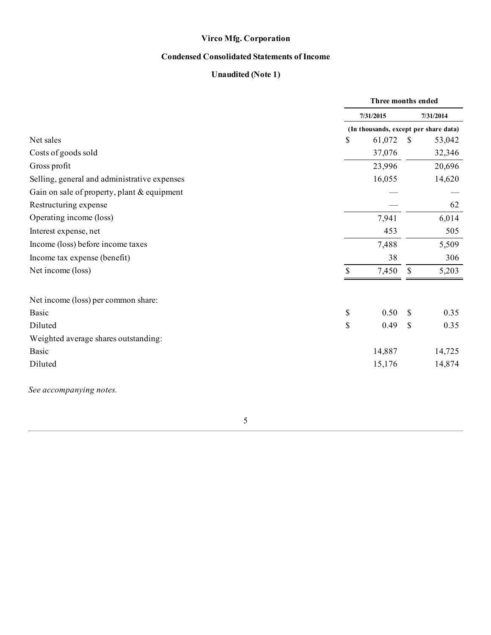## Condensed Consolidated Statements of Income

## Unaudited (Note 1)

|                                              | Three months ended |           |    |                                       |  |  |
|----------------------------------------------|--------------------|-----------|----|---------------------------------------|--|--|
|                                              |                    | 7/31/2015 |    |                                       |  |  |
|                                              |                    |           |    | (In thousands, except per share data) |  |  |
| Net sales                                    | S                  | 61,072    | \$ | 53,042                                |  |  |
| Costs of goods sold                          |                    | 37,076    |    | 32,346                                |  |  |
| Gross profit                                 |                    | 23,996    |    | 20,696                                |  |  |
| Selling, general and administrative expenses |                    | 16,055    |    | 14,620                                |  |  |
| Gain on sale of property, plant & equipment  |                    |           |    |                                       |  |  |
| Restructuring expense                        |                    |           |    | 62                                    |  |  |
| Operating income (loss)                      |                    | 7,941     |    | 6,014                                 |  |  |
| Interest expense, net                        |                    | 453       |    | 505                                   |  |  |
| Income (loss) before income taxes            |                    | 7,488     |    | 5,509                                 |  |  |
| Income tax expense (benefit)                 |                    | 38        |    | 306                                   |  |  |
| Net income (loss)                            | \$                 | 7,450     | \$ | 5,203                                 |  |  |
| Net income (loss) per common share:          |                    |           |    |                                       |  |  |
| <b>Basic</b>                                 | \$                 | 0.50      | \$ | 0.35                                  |  |  |
| Diluted                                      | $\mathbf S$        | 0.49      | \$ | 0.35                                  |  |  |
| Weighted average shares outstanding:         |                    |           |    |                                       |  |  |
| Basic                                        |                    | 14,887    |    | 14,725                                |  |  |
| Diluted                                      |                    | 15,176    |    | 14,874                                |  |  |
| See accompanying notes.                      |                    |           |    |                                       |  |  |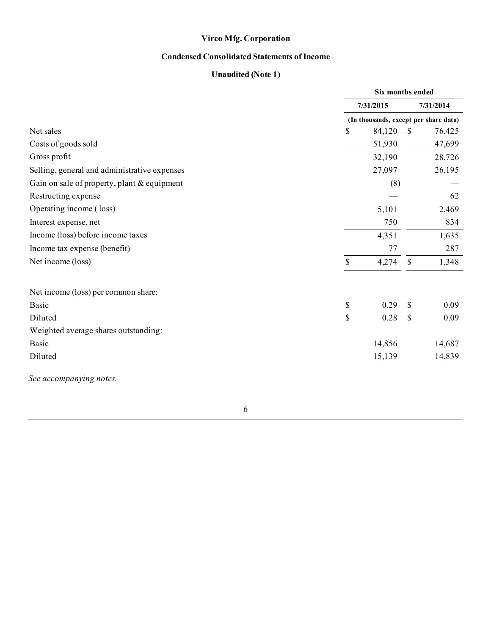## Condensed Consolidated Statements of Income

## Unaudited (Note 1)

|                                              | Six months ended |           |              |                                       |  |  |
|----------------------------------------------|------------------|-----------|--------------|---------------------------------------|--|--|
|                                              |                  | 7/31/2015 |              | 7/31/2014                             |  |  |
|                                              |                  |           |              | (In thousands, except per share data) |  |  |
| Net sales                                    | \$               | 84,120    | S            | 76,425                                |  |  |
| Costs of goods sold                          |                  | 51,930    |              | 47,699                                |  |  |
| Gross profit                                 |                  | 32,190    |              | 28,726                                |  |  |
| Selling, general and administrative expenses |                  | 27,097    |              | 26,195                                |  |  |
| Gain on sale of property, plant & equipment  |                  | (8)       |              |                                       |  |  |
| Restructing expense                          |                  |           |              | 62                                    |  |  |
| Operating income (loss)                      |                  | 5,101     |              | 2,469                                 |  |  |
| Interest expense, net                        |                  | 750       |              | 834                                   |  |  |
| Income (loss) before income taxes            |                  | 4,351     |              | 1,635                                 |  |  |
| Income tax expense (benefit)                 |                  | 77        |              | 287                                   |  |  |
| Net income (loss)                            | \$               | 4,274     | \$           | 1,348                                 |  |  |
| Net income (loss) per common share:          |                  |           |              |                                       |  |  |
| <b>Basic</b>                                 | \$               | 0.29      | $\mathbb{S}$ | 0.09                                  |  |  |
| Diluted                                      | \$               | 0.28      | \$           | 0.09                                  |  |  |
| Weighted average shares outstanding:         |                  |           |              |                                       |  |  |
| Basic                                        |                  | 14,856    |              | 14,687                                |  |  |
| Diluted                                      |                  | 15,139    |              | 14,839                                |  |  |
| See accompanying notes.                      |                  |           |              |                                       |  |  |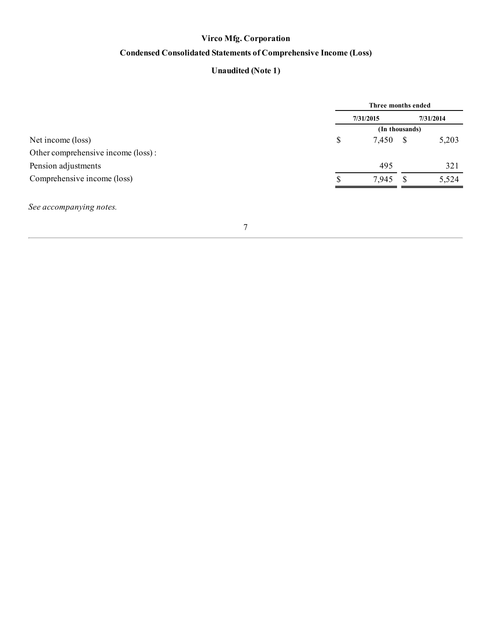## Condensed Consolidated Statements of Comprehensive Income (Loss)

## Unaudited (Note 1)

| 7/31/2014 |
|-----------|
|           |
| 5,203     |
|           |
| 321       |
| 5,524     |
|           |

See accompanying notes.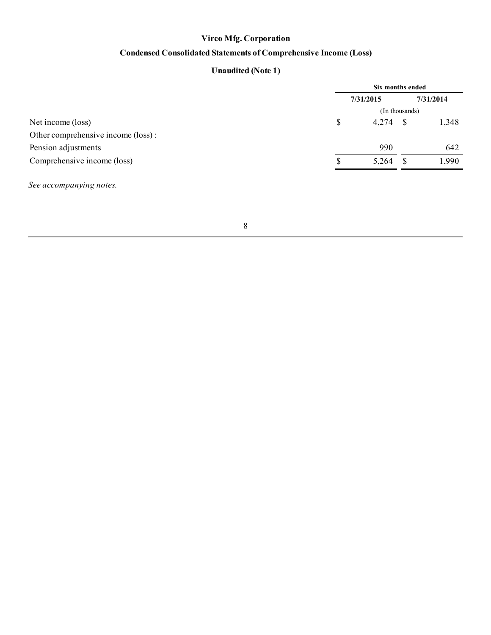## Condensed Consolidated Statements of Comprehensive Income (Loss)

## Unaudited (Note 1)

|                                    |    | Six months ended |                |       |  |  |  |
|------------------------------------|----|------------------|----------------|-------|--|--|--|
|                                    |    | 7/31/2015        |                |       |  |  |  |
|                                    |    |                  | (In thousands) |       |  |  |  |
| Net income (loss)                  | \$ | 4,274            |                | 1,348 |  |  |  |
| Other comprehensive income (loss): |    |                  |                |       |  |  |  |
| Pension adjustments                |    | 990              |                | 642   |  |  |  |
| Comprehensive income (loss)        | S  | 5,264            |                | 1.990 |  |  |  |
|                                    |    |                  |                |       |  |  |  |

See accompanying notes.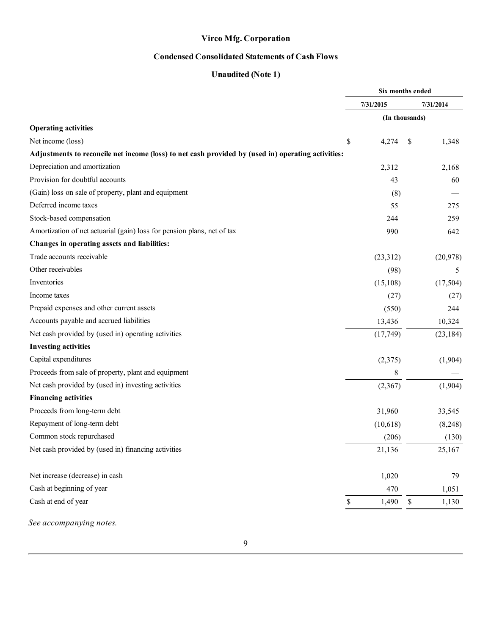#### Condensed Consolidated Statements of Cash Flows

## Unaudited (Note 1)

|                                                                                                    | Six months ended |                |  |  |
|----------------------------------------------------------------------------------------------------|------------------|----------------|--|--|
|                                                                                                    | 7/31/2015        | 7/31/2014      |  |  |
|                                                                                                    |                  | (In thousands) |  |  |
| <b>Operating activities</b>                                                                        |                  |                |  |  |
| Net income (loss)                                                                                  | \$<br>4,274      | S.<br>1,348    |  |  |
| Adjustments to reconcile net income (loss) to net cash provided by (used in) operating activities: |                  |                |  |  |
| Depreciation and amortization                                                                      | 2,312            | 2,168          |  |  |
| Provision for doubtful accounts                                                                    | 43               | 60             |  |  |
| (Gain) loss on sale of property, plant and equipment                                               | (8)              |                |  |  |
| Deferred income taxes                                                                              | 55               | 275            |  |  |
| Stock-based compensation                                                                           | 244              | 259            |  |  |
| Amortization of net actuarial (gain) loss for pension plans, net of tax                            | 990              | 642            |  |  |
| Changes in operating assets and liabilities:                                                       |                  |                |  |  |
| Trade accounts receivable                                                                          | (23,312)         | (20, 978)      |  |  |
| Other receivables                                                                                  | (98)             | 5              |  |  |
| Inventories                                                                                        | (15, 108)        | (17,504)       |  |  |
| Income taxes                                                                                       | (27)             | (27)           |  |  |
| Prepaid expenses and other current assets                                                          | (550)            | 244            |  |  |
| Accounts payable and accrued liabilities                                                           | 13,436           | 10,324         |  |  |
| Net cash provided by (used in) operating activities                                                | (17,749)         | (23, 184)      |  |  |
| <b>Investing activities</b>                                                                        |                  |                |  |  |
| Capital expenditures                                                                               | (2,375)          | (1,904)        |  |  |
| Proceeds from sale of property, plant and equipment                                                | 8                |                |  |  |
| Net cash provided by (used in) investing activities                                                | (2,367)          | (1,904)        |  |  |
| <b>Financing activities</b>                                                                        |                  |                |  |  |
| Proceeds from long-term debt                                                                       | 31,960           | 33,545         |  |  |
| Repayment of long-term debt                                                                        | (10,618)         | (8,248)        |  |  |
| Common stock repurchased                                                                           | (206)            | (130)          |  |  |
| Net cash provided by (used in) financing activities                                                | 21,136           | 25,167         |  |  |
| Net increase (decrease) in cash                                                                    | 1,020            | 79             |  |  |
| Cash at beginning of year                                                                          | 470              | 1,051          |  |  |
| Cash at end of year                                                                                | 1,490<br>\$      | \$<br>1,130    |  |  |
|                                                                                                    |                  |                |  |  |

See accompanying notes.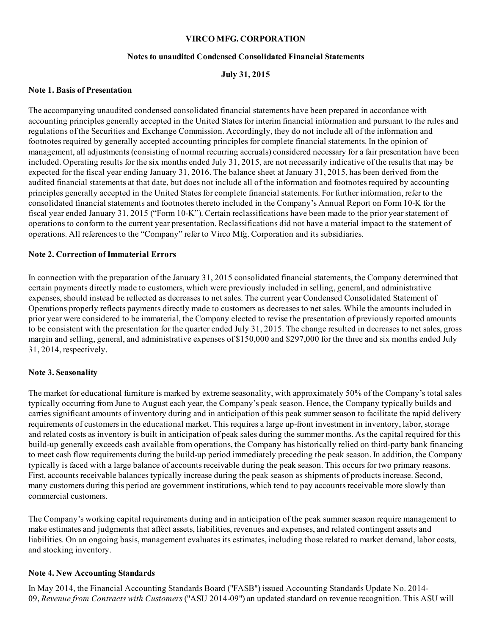#### VIRCO MFG. CORPORATION

#### Notes to unaudited Condensed Consolidated Financial Statements

#### July 31, 2015

#### Note 1. Basis of Presentation

The accompanying unaudited condensed consolidated financial statements have been prepared in accordance with accounting principles generally accepted in the United States for interim financial information and pursuant to the rules and regulations of the Securities and Exchange Commission. Accordingly, they do not include all of the information and footnotes required by generally accepted accounting principles for complete financial statements. In the opinion of management, all adjustments (consisting of normal recurring accruals) considered necessary for a fair presentation have been included. Operating results for the six months ended July 31, 2015, are not necessarily indicative of the results that may be expected for the fiscal year ending January 31, 2016. The balance sheet at January 31, 2015, has been derived from the audited financial statements at that date, but does not include all of the information and footnotes required by accounting principles generally accepted in the United States for complete financial statements. For further information, refer to the consolidated financial statements and footnotes thereto included in the Company's Annual Report on Form 10-K for the fiscal year ended January 31, 2015 ("Form 10-K"). Certain reclassifications have been made to the prior year statement of operations to conform to the current year presentation. Reclassifications did not have a material impact to the statement of operations. All references to the "Company" refer to Virco Mfg. Corporation and its subsidiaries.

#### Note 2. Correction of Immaterial Errors

In connection with the preparation of the January 31, 2015 consolidated financial statements, the Company determined that certain payments directly made to customers, which were previously included in selling, general, and administrative expenses, should instead be reflected as decreases to net sales. The current year Condensed Consolidated Statement of Operations properly reflects payments directly made to customers as decreases to net sales. While the amounts included in prior year were considered to be immaterial, the Company elected to revise the presentation of previously reported amounts to be consistent with the presentation for the quarter ended July 31, 2015. The change resulted in decreases to net sales, gross margin and selling, general, and administrative expenses of \$150,000 and \$297,000 for the three and six months ended July 31, 2014, respectively.

#### Note 3. Seasonality

The market for educational furniture is marked by extreme seasonality, with approximately 50% of the Company's total sales typically occurring from June to August each year, the Company's peak season. Hence, the Company typically builds and carries significant amounts of inventory during and in anticipation of this peak summer season to facilitate the rapid delivery requirements of customers in the educational market. This requires a large up-front investment in inventory, labor, storage and related costs as inventory is built in anticipation of peak sales during the summer months. As the capital required for this build-up generally exceeds cash available from operations, the Company has historically relied on third-party bank financing to meet cash flow requirements during the build-up period immediately preceding the peak season. In addition, the Company typically is faced with a large balance of accounts receivable during the peak season. This occurs for two primary reasons. First, accounts receivable balances typically increase during the peak season as shipments of products increase. Second, many customers during this period are government institutions, which tend to pay accounts receivable more slowly than commercial customers.

The Company's working capital requirements during and in anticipation of the peak summer season require management to make estimates and judgments that affect assets, liabilities, revenues and expenses, and related contingent assets and liabilities. On an ongoing basis, management evaluates its estimates, including those related to market demand, labor costs, and stocking inventory.

#### Note 4. New Accounting Standards

In May 2014, the Financial Accounting Standards Board ("FASB") issued Accounting Standards Update No. 2014 09, Revenue from Contracts with Customers ("ASU 2014-09") an updated standard on revenue recognition. This ASU will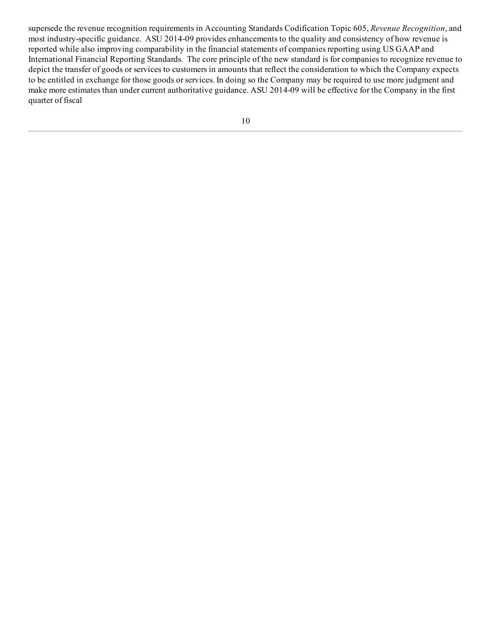supersede the revenue recognition requirements in Accounting Standards Codification Topic 605, Revenue Recognition, and most industry-specific guidance. ASU 2014-09 provides enhancements to the quality and consistency of how revenue is reported while also improving comparability in the financial statements of companies reporting using US GAAP and International Financial Reporting Standards. The core principle of the new standard is for companies to recognize revenue to depict the transfer of goods or services to customers in amounts that reflect the consideration to which the Company expects to be entitled in exchange for those goods orservices. In doing so the Company may be required to use more judgment and make more estimates than under current authoritative guidance. ASU 2014-09 will be effective for the Company in the first quarter of fiscal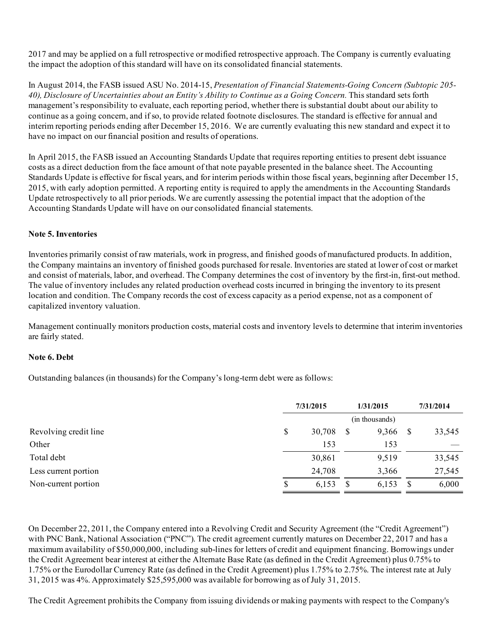2017 and may be applied on a full retrospective or modified retrospective approach. The Company is currently evaluating the impact the adoption of this standard will have on its consolidated financial statements.

In August 2014, the FASB issued ASU No. 2014-15, Presentation of Financial Statements-Going Concern (Subtopic 205-40), Disclosure of Uncertainties about an Entity's Ability to Continue as a Going Concern. This standard sets forth management's responsibility to evaluate, each reporting period, whether there is substantial doubt about our ability to continue as a going concern, and ifso, to provide related footnote disclosures. The standard is effective for annual and interim reporting periods ending after December 15, 2016. We are currently evaluating this new standard and expect it to have no impact on our financial position and results of operations.

In April 2015, the FASB issued an Accounting Standards Update that requires reporting entities to present debt issuance costs as a direct deduction from the face amount of that note payable presented in the balance sheet. The Accounting Standards Update is effective for fiscal years, and for interim periods within those fiscal years, beginning after December 15, 2015, with early adoption permitted. A reporting entity is required to apply the amendments in the Accounting Standards Update retrospectively to all prior periods. We are currently assessing the potential impact that the adoption of the Accounting Standards Update will have on our consolidated financial statements.

#### Note 5. Inventories

Inventories primarily consist of raw materials, work in progress, and finished goods of manufactured products. In addition, the Company maintains an inventory of finished goods purchased for resale. Inventories are stated at lower of cost or market and consist of materials, labor, and overhead. The Company determines the cost of inventory by the first-in, first-out method. The value of inventory includes any related production overhead costs incurred in bringing the inventory to its present location and condition. The Company records the cost of excess capacity as a period expense, not as a component of capitalized inventory valuation.

Management continually monitors production costs, material costs and inventory levels to determine that interim inventories are fairly stated.

#### Note 6. Debt

Outstanding balances (in thousands) for the Company's long-term debt were as follows:

|                       | 7/31/2015    | 1/31/2015<br>(in thousands) |       |   | 7/31/2014 |
|-----------------------|--------------|-----------------------------|-------|---|-----------|
|                       |              |                             |       |   |           |
| Revolving credit line | \$<br>30,708 |                             | 9,366 | S | 33,545    |
| Other                 | 153          |                             | 153   |   |           |
| Total debt            | 30,861       |                             | 9,519 |   | 33,545    |
| Less current portion  | 24,708       |                             | 3,366 |   | 27,545    |
| Non-current portion   | \$<br>6,153  |                             | 6,153 | S | 6,000     |

On December 22, 2011, the Company entered into a Revolving Credit and Security Agreement (the "Credit Agreement") with PNC Bank, National Association ("PNC"). The credit agreement currently matures on December 22, 2017 and has a maximum availability of \$50,000,000, including sub-lines for letters of credit and equipment financing. Borrowings under the Credit Agreement bear interest at either the Alternate Base Rate (as defined in the Credit Agreement) plus 0.75% to 1.75% or the Eurodollar Currency Rate (as defined in the Credit Agreement) plus 1.75% to 2.75%. The interest rate at July 31, 2015 was 4%. Approximately \$25,595,000 was available for borrowing as ofJuly 31, 2015.

The Credit Agreement prohibits the Company from issuing dividends or making payments with respect to the Company's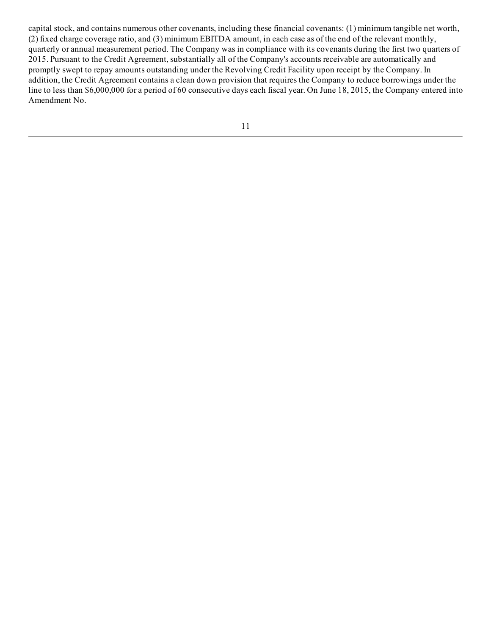capital stock, and contains numerous other covenants, including these financial covenants: (1) minimum tangible net worth, (2) fixed charge coverage ratio, and (3) minimum EBITDA amount, in each case as of the end of the relevant monthly, quarterly or annual measurement period. The Company was in compliance with its covenants during the first two quarters of 2015. Pursuant to the Credit Agreement, substantially all of the Company's accounts receivable are automatically and promptly swept to repay amounts outstanding under the Revolving Credit Facility upon receipt by the Company. In addition, the Credit Agreement contains a clean down provision that requires the Company to reduce borrowings under the line to less than \$6,000,000 for a period of 60 consecutive days each fiscal year. On June 18, 2015, the Company entered into Amendment No.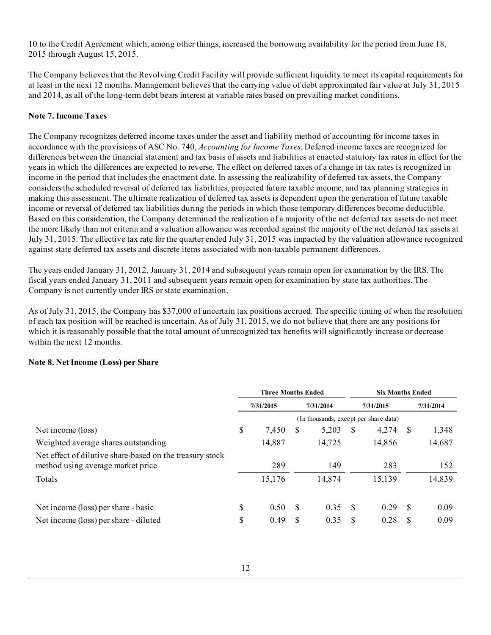10 to the Credit Agreement which, among other things, increased the borrowing availability for the period from June 18, 2015 through August 15, 2015.

The Company believes that the Revolving Credit Facility will provide sufficient liquidity to meet its capital requirements for at least in the next 12 months. Management believes that the carrying value of debt approximated fair value at July 31, 2015 and 2014, as all of the long-term debt bears interest at variable rates based on prevailing market conditions.

#### Note 7. Income Taxes

The Company recognizes deferred income taxes under the asset and liability method of accounting for income taxes in accordance with the provisions of ASC No. 740, *Accounting for Income Taxes*. Deferred income taxes are recognized for differences between the financial statement and tax basis of assets and liabilities at enacted statutory tax rates in effect for the years in which the differences are expected to reverse. The effect on deferred taxes of a change in tax rates is recognized in income in the period that includes the enactment date. In assessing the realizability of deferred tax assets, the Company considers the scheduled reversal of deferred tax liabilities, projected future taxable income, and tax planning strategies in making this assessment. The ultimate realization of deferred tax assets is dependent upon the generation of future taxable income or reversal of deferred tax liabilities during the periods in which those temporary differences become deductible. Based on this consideration, the Company determined the realization of a majority of the net deferred tax assets do not meet the more likely than not criteria and a valuation allowance was recorded against the majority of the net deferred tax assets at July 31, 2015. The effective tax rate for the quarter ended July 31, 2015 was impacted by the valuation allowance recognized against state deferred tax assets and discrete items associated with nontaxable permanent differences.

The years ended January 31, 2012, January 31, 2014 and subsequent years remain open for examination by the IRS. The fiscal years ended January 31, 2011 and subsequent years remain open for examination by state tax authorities. The Company is not currently under IRS or state examination.

As ofJuly 31, 2015, the Company has \$37,000 of uncertain tax positions accrued. The specific timing of when the resolution of each tax position will be reached is uncertain. As ofJuly 31, 2015, we do not believe that there are any positions for which it is reasonably possible that the total amount of unrecognized tax benefits will significantly increase or decrease within the next 12 months.

#### Note 8. Net Income (Loss) per Share

|                                                                                               | <b>Three Months Ended</b> |           |     |                                       |              | <b>Six Months Ended</b> |      |           |  |
|-----------------------------------------------------------------------------------------------|---------------------------|-----------|-----|---------------------------------------|--------------|-------------------------|------|-----------|--|
|                                                                                               |                           | 7/31/2015 |     | 7/31/2014                             | 7/31/2015    |                         |      | 7/31/2014 |  |
|                                                                                               |                           |           |     | (In thousands, except per share data) |              |                         |      |           |  |
| Net income (loss)                                                                             | \$                        | 7,450     | S   | 5,203                                 | <sup>S</sup> | 4,274                   | -S   | 1,348     |  |
| Weighted average shares outstanding                                                           |                           | 14,887    |     | 14,725                                |              | 14,856                  |      | 14,687    |  |
| Net effect of dilutive share-based on the treasury stock<br>method using average market price |                           | 289       |     | 149                                   |              | 283                     |      | 152       |  |
| Totals                                                                                        |                           | 15,176    |     | 14,874                                |              | 15,139                  |      | 14,839    |  |
| Net income (loss) per share - basic                                                           | \$                        | 0.50      | -\$ | 0.35                                  | - \$         | 0.29                    | - \$ | 0.09      |  |
| Net income (loss) per share - diluted                                                         | \$                        | 0.49      | \$. | 0.35                                  | \$.          | 0.28                    | S    | 0.09      |  |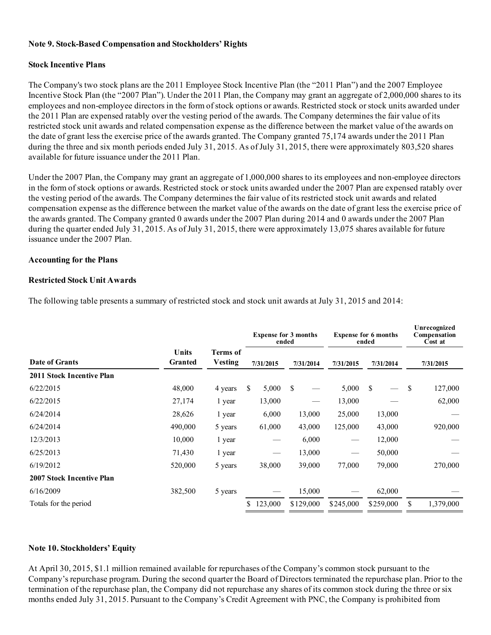#### Note 9. Stock-Based Compensation and Stockholders' Rights

#### Stock Incentive Plans

The Company's two stock plans are the 2011 Employee Stock Incentive Plan (the "2011 Plan") and the 2007 Employee Incentive Stock Plan (the "2007 Plan"). Under the 2011 Plan, the Company may grant an aggregate of 2,000,000 shares to its employees and non-employee directors in the form of stock options or awards. Restricted stock or stock units awarded under the 2011 Plan are expensed ratably over the vesting period of the awards. The Company determines the fair value of its restricted stock unit awards and related compensation expense as the difference between the market value of the awards on the date of grant less the exercise price of the awards granted. The Company granted 75,174 awards under the 2011 Plan during the three and six month periods ended July 31, 2015. As of July 31, 2015, there were approximately 803,520 shares available for future issuance under the 2011 Plan.

Under the 2007 Plan, the Company may grant an aggregate of 1,000,000 shares to its employees and non-employee directors in the form of stock options or awards. Restricted stock or stock units awarded under the 2007 Plan are expensed ratably over the vesting period of the awards. The Company determines the fair value of its restricted stock unit awards and related compensation expense as the difference between the market value of the awards on the date of grant less the exercise price of the awards granted. The Company granted 0 awards under the 2007 Plan during 2014 and 0 awards under the 2007 Plan during the quarter ended July 31, 2015. As of July 31, 2015, there were approximately 13,075 shares available for future issuance under the 2007 Plan.

#### Accounting for the Plans

#### Restricted Stock Unit Awards

The following table presents a summary of restricted stock and stock unit awards at July 31, 2015 and 2014:

|                                  |                         |                                   | <b>Expense for 3 months</b><br><b>Expense for 6 months</b><br>ended<br>ended |                   |           |              | Unrecognized<br>Compensation<br>Cost at |
|----------------------------------|-------------------------|-----------------------------------|------------------------------------------------------------------------------|-------------------|-----------|--------------|-----------------------------------------|
| <b>Date of Grants</b>            | Units<br><b>Granted</b> | <b>Terms</b> of<br><b>Vesting</b> | 7/31/2015                                                                    | 7/31/2014         | 7/31/2015 | 7/31/2014    | 7/31/2015                               |
| <b>2011 Stock Incentive Plan</b> |                         |                                   |                                                                              |                   |           |              |                                         |
| 6/22/2015                        | 48,000                  | 4 years                           | S<br>5,000                                                                   | \$                | 5,000     | <sup>S</sup> | 127,000<br><sup>\$</sup>                |
| 6/22/2015                        | 27,174                  | 1 year                            | 13,000                                                                       | $\hspace{0.05cm}$ | 13,000    |              | 62,000                                  |
| 6/24/2014                        | 28,626                  | 1 year                            | 6,000                                                                        | 13,000            | 25,000    | 13,000       |                                         |
| 6/24/2014                        | 490,000                 | 5 years                           | 61,000                                                                       | 43,000            | 125,000   | 43,000       | 920,000                                 |
| 12/3/2013                        | 10,000                  | 1 year                            |                                                                              | 6,000             |           | 12,000       |                                         |
| 6/25/2013                        | 71,430                  | 1 year                            |                                                                              | 13,000            |           | 50,000       |                                         |
| 6/19/2012                        | 520,000                 | 5 years                           | 38,000                                                                       | 39,000            | 77,000    | 79,000       | 270,000                                 |
| <b>2007 Stock Incentive Plan</b> |                         |                                   |                                                                              |                   |           |              |                                         |
| 6/16/2009                        | 382,500                 | 5 years                           |                                                                              | 15,000            |           | 62,000       |                                         |
| Totals for the period            |                         |                                   | 123,000<br>S.                                                                | \$129,000         | \$245,000 | \$259,000    | \$<br>1,379,000                         |

#### Note 10. Stockholders' Equity

At April 30, 2015, \$1.1 million remained available for repurchases of the Company's common stock pursuant to the Company's repurchase program. During the second quarter the Board of Directors terminated the repurchase plan. Prior to the termination of the repurchase plan, the Company did not repurchase any shares of its common stock during the three orsix months ended July 31, 2015. Pursuant to the Company's Credit Agreement with PNC, the Company is prohibited from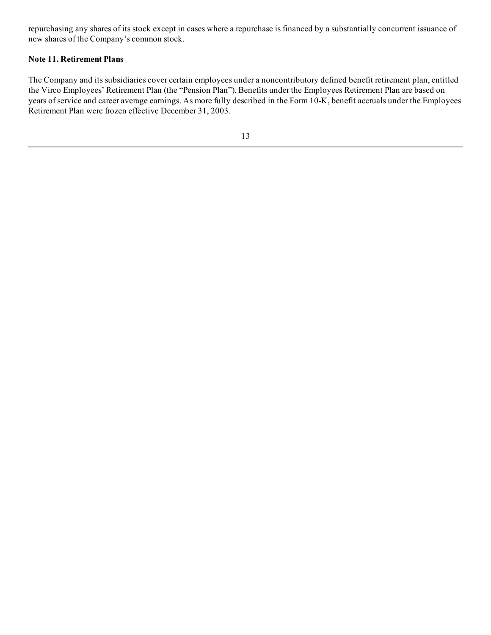repurchasing any shares of its stock except in cases where a repurchase is financed by a substantially concurrent issuance of new shares of the Company's common stock.

#### Note 11. Retirement Plans

The Company and its subsidiaries cover certain employees under a noncontributory defined benefit retirement plan, entitled the Virco Employees' Retirement Plan (the "Pension Plan"). Benefits under the Employees Retirement Plan are based on years of service and career average earnings. As more fully described in the Form 10-K, benefit accruals under the Employees Retirement Plan were frozen effective December 31, 2003.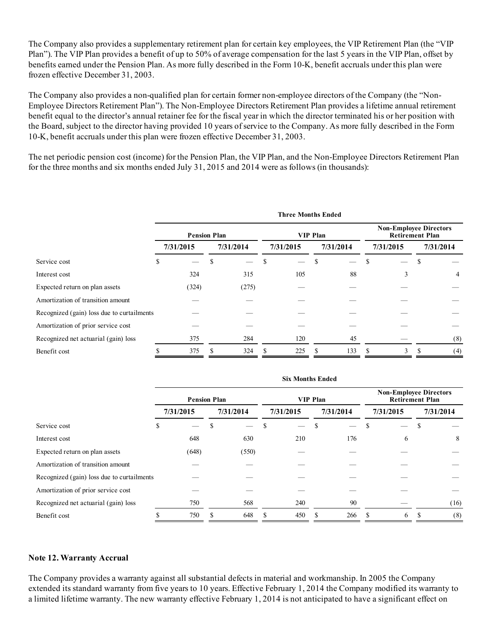The Company also provides a supplementary retirement plan for certain key employees, the VIP Retirement Plan (the "VIP Plan"). The VIP Plan provides a benefit of up to 50% of average compensation for the last 5 years in the VIP Plan, offset by benefits earned under the Pension Plan. As more fully described in the Form 10-K, benefit accruals under this plan were frozen effective December 31, 2003.

The Company also provides a non-qualified plan for certain former non-employee directors of the Company (the "Non-Employee Directors Retirement Plan"). The NonEmployee Directors Retirement Plan provides a lifetime annual retirement benefit equal to the director's annual retainer fee for the fiscal year in which the director terminated his or her position with the Board, subject to the director having provided 10 years ofservice to the Company. As more fully described in the Form 10K, benefit accruals under this plan were frozen effective December 31, 2003.

The net periodic pension cost (income) for the Pension Plan, the VIP Plan, and the Non-Employee Directors Retirement Plan for the three months and six months ended July 31, 2015 and 2014 were as follows (in thousands):

|                                            | <b>Three Months Ended</b> |           |    |           |    |                 |    |           |    |                                                         |    |           |  |
|--------------------------------------------|---------------------------|-----------|----|-----------|----|-----------------|----|-----------|----|---------------------------------------------------------|----|-----------|--|
|                                            | <b>Pension Plan</b>       |           |    |           |    | <b>VIP Plan</b> |    |           |    | <b>Non-Employee Directors</b><br><b>Retirement Plan</b> |    |           |  |
|                                            |                           | 7/31/2015 |    | 7/31/2014 |    | 7/31/2015       |    | 7/31/2014 |    | 7/31/2015                                               |    | 7/31/2014 |  |
| Service cost                               | S                         |           | \$ |           | S  |                 |    |           | \$ |                                                         |    |           |  |
| Interest cost                              |                           | 324       |    | 315       |    | 105             |    | 88        |    | 3                                                       |    | 4         |  |
| Expected return on plan assets             |                           | (324)     |    | (275)     |    |                 |    |           |    |                                                         |    |           |  |
| Amortization of transition amount          |                           |           |    |           |    |                 |    |           |    |                                                         |    |           |  |
| Recognized (gain) loss due to curtailments |                           |           |    |           |    |                 |    |           |    |                                                         |    |           |  |
| Amortization of prior service cost         |                           |           |    |           |    |                 |    |           |    |                                                         |    |           |  |
| Recognized net actuarial (gain) loss       |                           | 375       |    | 284       |    | 120             |    | 45        |    |                                                         |    | (8)       |  |
| Benefit cost                               |                           | 375       | S  | 324       | -S | 225             | S. | 133       | S  | 3                                                       | S. | (4)       |  |

|                                            | <b>Six Months Ended</b> |           |    |           |                 |           |   |           |                                                         |           |   |           |
|--------------------------------------------|-------------------------|-----------|----|-----------|-----------------|-----------|---|-----------|---------------------------------------------------------|-----------|---|-----------|
|                                            | <b>Pension Plan</b>     |           |    |           | <b>VIP Plan</b> |           |   |           | <b>Non-Employee Directors</b><br><b>Retirement Plan</b> |           |   |           |
|                                            |                         | 7/31/2015 |    | 7/31/2014 |                 | 7/31/2015 |   | 7/31/2014 |                                                         | 7/31/2015 |   | 7/31/2014 |
| Service cost                               | S                       |           | \$ |           | S               |           | S |           | \$                                                      |           | S |           |
| Interest cost                              |                         | 648       |    | 630       |                 | 210       |   | 176       |                                                         | 6         |   | 8         |
| Expected return on plan assets             |                         | (648)     |    | (550)     |                 |           |   |           |                                                         |           |   |           |
| Amortization of transition amount          |                         |           |    |           |                 |           |   |           |                                                         |           |   |           |
| Recognized (gain) loss due to curtailments |                         |           |    |           |                 |           |   |           |                                                         |           |   |           |
| Amortization of prior service cost         |                         |           |    |           |                 |           |   |           |                                                         |           |   |           |
| Recognized net actuarial (gain) loss       |                         | 750       |    | 568       |                 | 240       |   | 90        |                                                         |           |   | (16)      |
| Benefit cost                               |                         | 750       |    | 648       | ъ               | 450       |   | 266       | -S                                                      | 6         | S | (8)       |

#### Note 12. Warranty Accrual

The Company provides a warranty against all substantial defects in material and workmanship. In 2005 the Company extended its standard warranty from five years to 10 years. Effective February 1, 2014 the Company modified its warranty to a limited lifetime warranty. The new warranty effective February 1, 2014 is not anticipated to have a significant effect on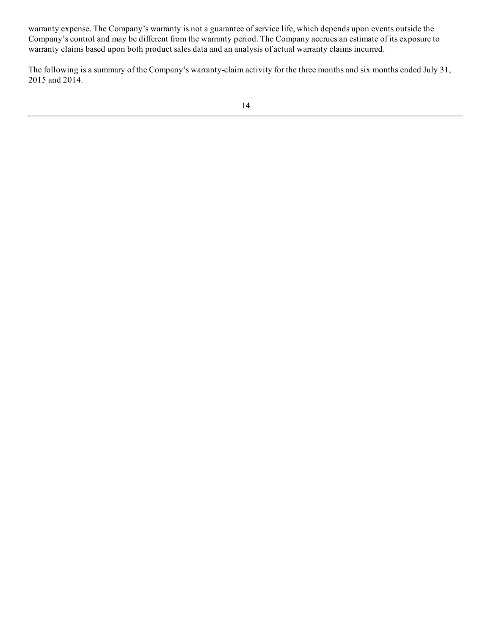warranty expense. The Company's warranty is not a guarantee of service life, which depends upon events outside the Company's control and may be different from the warranty period. The Company accrues an estimate of its exposure to warranty claims based upon both product sales data and an analysis of actual warranty claims incurred.

The following is a summary of the Company's warranty-claim activity for the three months and six months ended July 31, 2015 and 2014.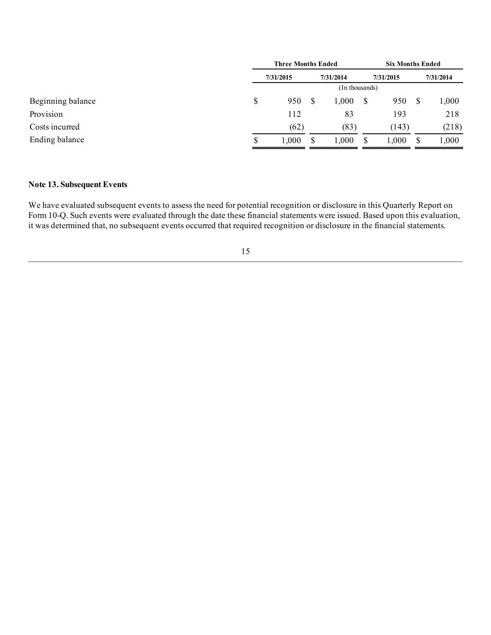| <b>Three Months Ended</b> |           |   |           |    | <b>Six Months Ended</b> |                |           |  |  |
|---------------------------|-----------|---|-----------|----|-------------------------|----------------|-----------|--|--|
|                           | 7/31/2015 |   | 7/31/2014 |    | 7/31/2015               |                | 7/31/2014 |  |  |
|                           |           |   |           |    |                         |                |           |  |  |
| \$                        | 950       | S | 1,000     | -S | 950                     |                | 1,000     |  |  |
|                           | 112       |   | 83        |    | 193                     |                | 218       |  |  |
|                           | (62)      |   | (83)      |    | (143)                   |                | (218)     |  |  |
|                           | 1,000     | S | 1,000     | \$ | 1,000                   |                | 1,000     |  |  |
|                           |           |   |           |    |                         | (In thousands) |           |  |  |

#### Note 13. Subsequent Events

We have evaluated subsequent events to assess the need for potential recognition or disclosure in this Quarterly Report on Form 10-Q. Such events were evaluated through the date these financial statements were issued. Based upon this evaluation, it was determined that, no subsequent events occurred that required recognition or disclosure in the financial statements.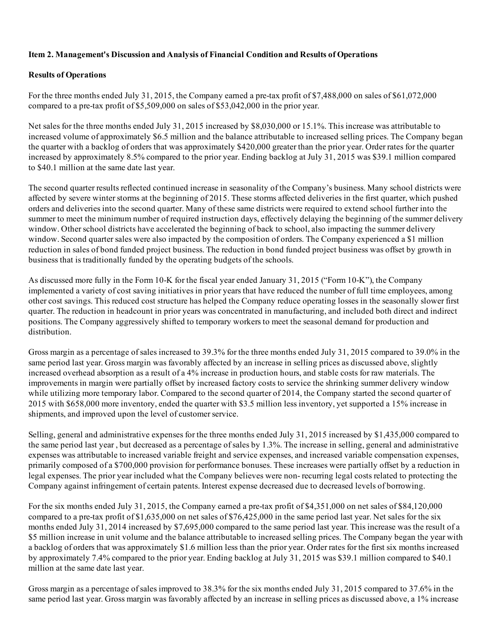#### Item 2. Management's Discussion and Analysis of Financial Condition and Results of Operations

#### Results of Operations

For the three months ended July 31, 2015, the Company earned a pre-tax profit of \$7,488,000 on sales of \$61,072,000 compared to a pre-tax profit of \$5,509,000 on sales of \$53,042,000 in the prior year.

Net sales for the three months ended July 31, 2015 increased by \$8,030,000 or 15.1%. This increase was attributable to increased volume of approximately \$6.5 million and the balance attributable to increased selling prices. The Company began the quarter with a backlog of orders that was approximately \$420,000 greater than the prior year. Order rates for the quarter increased by approximately 8.5% compared to the prior year. Ending backlog at July 31, 2015 was \$39.1 million compared to \$40.1 million at the same date last year.

The second quarter results reflected continued increase in seasonality of the Company's business. Many school districts were affected by severe winter storms at the beginning of 2015. These storms affected deliveries in the first quarter, which pushed orders and deliveries into the second quarter. Many of these same districts were required to extend school further into the summer to meet the minimum number of required instruction days, effectively delaying the beginning of the summer delivery window. Other school districts have accelerated the beginning of back to school, also impacting the summer delivery window. Second quarter sales were also impacted by the composition of orders. The Company experienced a \$1 million reduction in sales of bond funded project business. The reduction in bond funded project business was offset by growth in business that is traditionally funded by the operating budgets of the schools.

As discussed more fully in the Form 10-K for the fiscal year ended January 31, 2015 ("Form 10-K"), the Company implemented a variety of cost saving initiatives in prior years that have reduced the number of full time employees, among other cost savings. This reduced cost structure has helped the Company reduce operating losses in the seasonally slower first quarter. The reduction in headcount in prior years was concentrated in manufacturing, and included both direct and indirect positions. The Company aggressively shifted to temporary workers to meet the seasonal demand for production and distribution.

Gross margin as a percentage ofsales increased to 39.3% for the three months ended July 31, 2015 compared to 39.0% in the same period last year. Gross margin was favorably affected by an increase in selling prices as discussed above, slightly increased overhead absorption as a result of a 4% increase in production hours, and stable costs for raw materials. The improvements in margin were partially offset by increased factory costs to service the shrinking summer delivery window while utilizing more temporary labor. Compared to the second quarter of 2014, the Company started the second quarter of 2015 with \$658,000 more inventory, ended the quarter with \$3.5 million less inventory, yet supported a 15% increase in shipments, and improved upon the level of customer service.

Selling, general and administrative expenses for the three months ended July 31, 2015 increased by \$1,435,000 compared to the same period last year , but decreased as a percentage ofsales by 1.3%. The increase in selling, general and administrative expenses was attributable to increased variable freight and service expenses, and increased variable compensation expenses, primarily composed of a \$700,000 provision for performance bonuses. These increases were partially offset by a reduction in legal expenses. The prior year included what the Company believes were non recurring legal costs related to protecting the Company against infringement of certain patents. Interest expense decreased due to decreased levels of borrowing.

For the six months ended July 31, 2015, the Company earned a pre-tax profit of \$4,351,000 on net sales of \$84,120,000 compared to a pre-tax profit of  $$1,635,000$  on net sales of  $$76,425,000$  in the same period last year. Net sales for the six months ended July 31, 2014 increased by \$7,695,000 compared to the same period last year. This increase was the result of a \$5 million increase in unit volume and the balance attributable to increased selling prices. The Company began the year with a backlog of orders that was approximately \$1.6 million less than the prior year. Order rates for the first six months increased by approximately 7.4% compared to the prior year. Ending backlog at July 31, 2015 was \$39.1 million compared to \$40.1 million at the same date last year.

Gross margin as a percentage ofsales improved to 38.3% for the six months ended July 31, 2015 compared to 37.6% in the same period last year. Gross margin was favorably affected by an increase in selling prices as discussed above, a 1% increase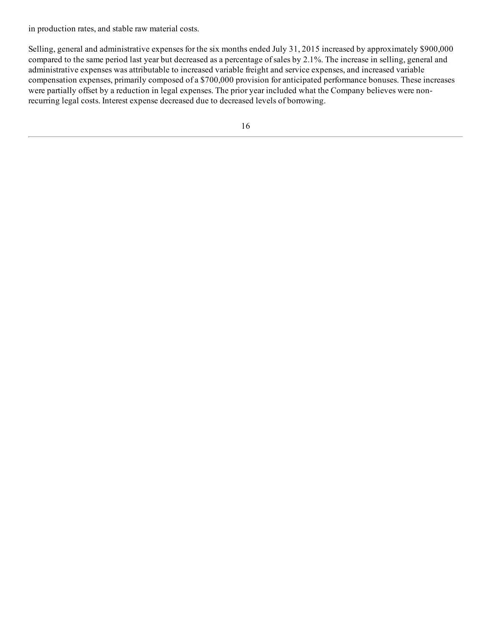in production rates, and stable raw material costs.

Selling, general and administrative expenses for the six months ended July 31, 2015 increased by approximately \$900,000 compared to the same period last year but decreased as a percentage ofsales by 2.1%. The increase in selling, general and administrative expenses was attributable to increased variable freight and service expenses, and increased variable compensation expenses, primarily composed of a \$700,000 provision for anticipated performance bonuses. These increases were partially offset by a reduction in legal expenses. The prior year included what the Company believes were nonrecurring legal costs. Interest expense decreased due to decreased levels of borrowing.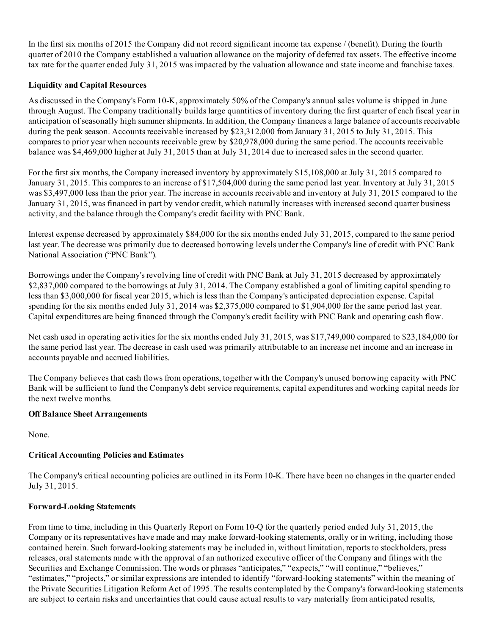In the first six months of 2015 the Company did not record significant income tax expense / (benefit). During the fourth quarter of 2010 the Company established a valuation allowance on the majority of deferred tax assets. The effective income tax rate for the quarter ended July 31, 2015 was impacted by the valuation allowance and state income and franchise taxes.

#### Liquidity and Capital Resources

As discussed in the Company's Form 10-K, approximately 50% of the Company's annual sales volume is shipped in June through August. The Company traditionally builds large quantities of inventory during the first quarter of each fiscal year in anticipation of seasonally high summer shipments. In addition, the Company finances a large balance of accounts receivable during the peak season. Accounts receivable increased by \$23,312,000 from January 31, 2015 to July 31, 2015. This compares to prior year when accounts receivable grew by \$20,978,000 during the same period. The accounts receivable balance was \$4,469,000 higher at July 31, 2015 than at July 31, 2014 due to increased sales in the second quarter.

For the first six months, the Company increased inventory by approximately \$15,108,000 at July 31, 2015 compared to January 31, 2015. This compares to an increase of \$17,504,000 during the same period last year. Inventory at July 31, 2015 was \$3,497,000 less than the prior year. The increase in accounts receivable and inventory at July 31, 2015 compared to the January 31, 2015, was financed in part by vendor credit, which naturally increases with increased second quarter business activity, and the balance through the Company's credit facility with PNC Bank.

Interest expense decreased by approximately \$84,000 for the six months ended July 31, 2015, compared to the same period last year. The decrease was primarily due to decreased borrowing levels under the Company's line of credit with PNC Bank National Association ("PNC Bank").

Borrowings under the Company's revolving line of credit with PNC Bank at July 31, 2015 decreased by approximately \$2,837,000 compared to the borrowings at July 31, 2014. The Company established a goal of limiting capital spending to less than \$3,000,000 for fiscal year 2015, which is less than the Company's anticipated depreciation expense. Capital spending for the six months ended July 31, 2014 was \$2,375,000 compared to \$1,904,000 for the same period last year. Capital expenditures are being financed through the Company's credit facility with PNC Bank and operating cash flow.

Net cash used in operating activities for the six months ended July 31, 2015, was \$17,749,000 compared to \$23,184,000 for the same period last year. The decrease in cash used was primarily attributable to an increase net income and an increase in accounts payable and accrued liabilities.

The Company believes that cash flows from operations, together with the Company's unused borrowing capacity with PNC Bank will be sufficient to fund the Company's debt service requirements, capital expenditures and working capital needs for the next twelve months.

#### Off Balance Sheet Arrangements

None.

#### Critical Accounting Policies and Estimates

The Company's critical accounting policies are outlined in its Form 10-K. There have been no changes in the quarter ended July 31, 2015.

#### Forward-Looking Statements

From time to time, including in this Quarterly Report on Form 10-Q for the quarterly period ended July 31, 2015, the Company or its representatives have made and may make forward-looking statements, orally or in writing, including those contained herein. Such forward-looking statements may be included in, without limitation, reports to stockholders, press releases, oral statements made with the approval of an authorized executive officer of the Company and filings with the Securities and Exchange Commission. The words or phrases "anticipates," "expects," "will continue," "believes," "estimates," "projects," or similar expressions are intended to identify "forward-looking statements" within the meaning of the Private Securities Litigation Reform Act of 1995. The results contemplated by the Company's forward-looking statements are subject to certain risks and uncertainties that could cause actual results to vary materially from anticipated results,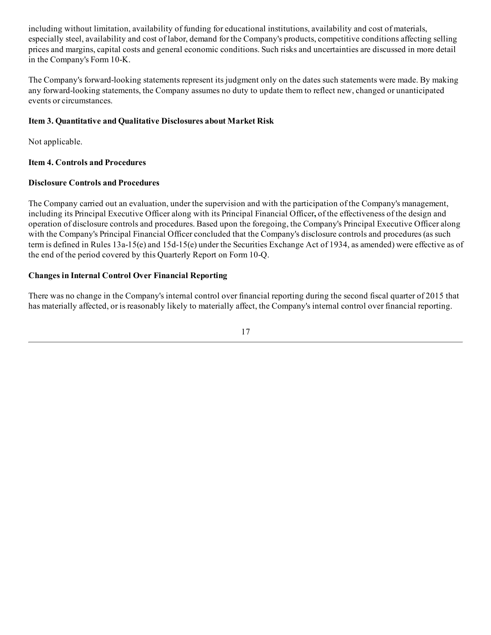including without limitation, availability of funding for educational institutions, availability and cost of materials, especially steel, availability and cost of labor, demand for the Company's products, competitive conditions affecting selling prices and margins, capital costs and general economic conditions. Such risks and uncertainties are discussed in more detail in the Company's Form 10-K.

The Company's forward-looking statements represent its judgment only on the dates such statements were made. By making any forward-looking statements, the Company assumes no duty to update them to reflect new, changed or unanticipated events or circumstances.

#### Item 3. Quantitative and Qualitative Disclosures about Market Risk

Not applicable.

#### Item 4. Controls and Procedures

#### Disclosure Controls and Procedures

The Company carried out an evaluation, under the supervision and with the participation of the Company's management, including its Principal Executive Officer along with its Principal Financial Officer, of the effectiveness of the design and operation of disclosure controls and procedures. Based upon the foregoing, the Company's Principal Executive Officer along with the Company's Principal Financial Officer concluded that the Company's disclosure controls and procedures (as such term is defined in Rules 13a-15(e) and 15d-15(e) under the Securities Exchange Act of 1934, as amended) were effective as of the end of the period covered by this Quarterly Report on Form 10-Q.

#### Changes in Internal Control Over Financial Reporting

There was no change in the Company's internal control over financial reporting during the second fiscal quarter of 2015 that has materially affected, or is reasonably likely to materially affect, the Company's internal control over financial reporting.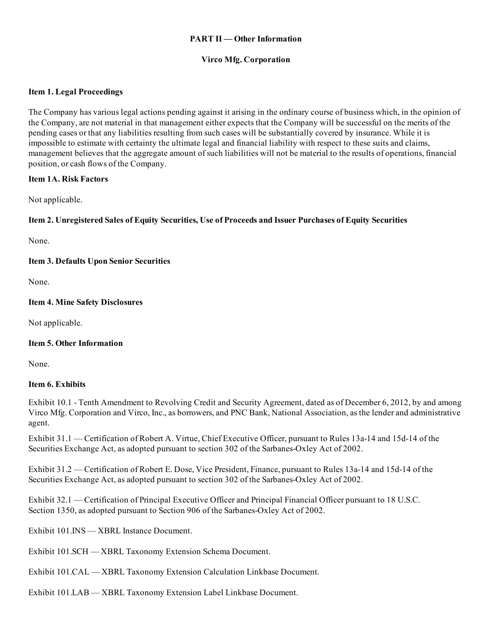#### PART II — Other Information

#### Virco Mfg. Corporation

#### Item 1. Legal Proceedings

The Company has various legal actions pending against it arising in the ordinary course of business which, in the opinion of the Company, are not material in that management either expects that the Company will be successful on the merits of the pending cases or that any liabilities resulting from such cases will be substantially covered by insurance. While it is impossible to estimate with certainty the ultimate legal and financial liability with respect to these suits and claims, management believes that the aggregate amount of such liabilities will not be material to the results of operations, financial position, or cash flows of the Company.

#### Item 1A. Risk Factors

Not applicable.

#### Item 2. Unregistered Sales of Equity Securities, Use of Proceeds and Issuer Purchases of Equity Securities

None.

Item 3. Defaults Upon Senior Securities

None.

#### Item 4. Mine Safety Disclosures

Not applicable.

#### Item 5. Other Information

None.

#### Item 6. Exhibits

Exhibit 10.1 - Tenth Amendment to Revolving Credit and Security Agreement, dated as of December 6, 2012, by and among Virco Mfg. Corporation and Virco, Inc., as borrowers, and PNC Bank, National Association, as the lender and administrative agent.

Exhibit 31.1 — Certification of Robert A. Virtue, Chief Executive Officer, pursuant to Rules 13a-14 and 15d-14 of the Securities Exchange Act, as adopted pursuant to section 302 of the Sarbanes-Oxley Act of 2002.

Exhibit 31.2 — Certification of Robert E. Dose, Vice President, Finance, pursuant to Rules 13a-14 and 15d-14 of the Securities Exchange Act, as adopted pursuant to section 302 of the Sarbanes-Oxley Act of 2002.

Exhibit 32.1 — Certification of Principal Executive Officer and Principal Financial Officer pursuant to 18 U.S.C. Section 1350, as adopted pursuant to Section 906 of the Sarbanes-Oxley Act of 2002.

Exhibit 101.INS — XBRL Instance Document.

Exhibit 101.SCH — XBRL Taxonomy Extension Schema Document.

Exhibit 101.CAL — XBRL Taxonomy Extension Calculation Linkbase Document.

Exhibit 101.LAB — XBRL Taxonomy Extension Label Linkbase Document.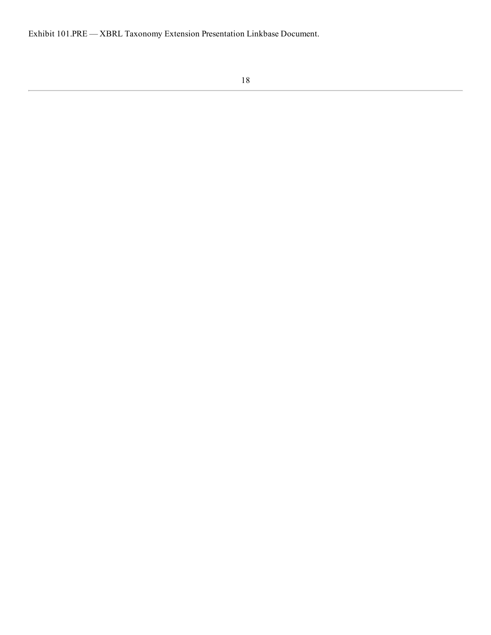Exhibit 101.PRE — XBRL Taxonomy Extension Presentation Linkbase Document.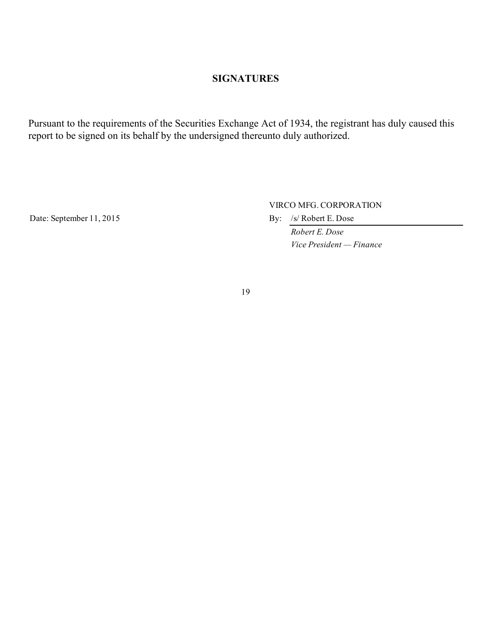## **SIGNATURES**

Pursuant to the requirements of the Securities Exchange Act of 1934, the registrant has duly caused this report to be signed on its behalf by the undersigned thereunto duly authorized.

Date: September 11, 2015 By: /s/ Robert E. Dose

VIRCO MFG. CORPORATION

Robert E. Dose Vice President — Finance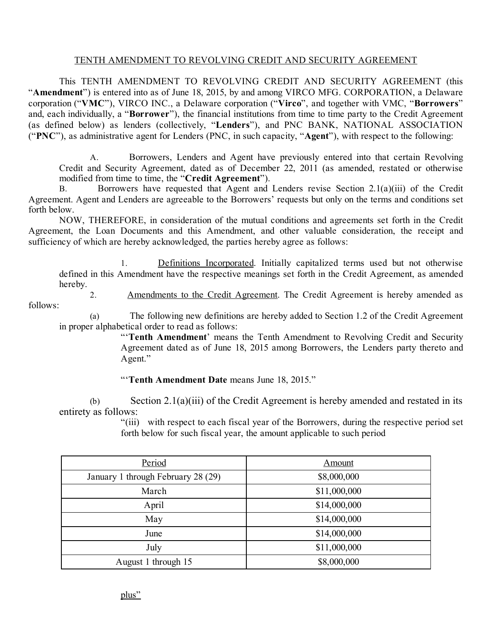#### TENTH AMENDMENT TO REVOLVING CREDIT AND SECURITY AGREEMENT

This TENTH AMENDMENT TO REVOLVING CREDIT AND SECURITY AGREEMENT (this "Amendment") is entered into as of June 18, 2015, by and among VIRCO MFG. CORPORATION, a Delaware corporation ("VMC"), VIRCO INC., a Delaware corporation ("Virco", and together with VMC, "Borrowers" and, each individually, a "Borrower"), the financial institutions from time to time party to the Credit Agreement (as defined below) as lenders (collectively, "Lenders"), and PNC BANK, NATIONAL ASSOCIATION ("PNC"), as administrative agent for Lenders (PNC, in such capacity, "Agent"), with respect to the following:

A. Borrowers, Lenders and Agent have previously entered into that certain Revolving Credit and Security Agreement, dated as of December 22, 2011 (as amended, restated or otherwise modified from time to time, the "Credit Agreement").

B. Borrowers have requested that Agent and Lenders revise Section 2.1(a)(iii) of the Credit Agreement. Agent and Lenders are agreeable to the Borrowers' requests but only on the terms and conditions set forth below.

NOW, THEREFORE, in consideration of the mutual conditions and agreements set forth in the Credit Agreement, the Loan Documents and this Amendment, and other valuable consideration, the receipt and sufficiency of which are hereby acknowledged, the parties hereby agree as follows:

1. Definitions Incorporated. Initially capitalized terms used but not otherwise defined in this Amendment have the respective meanings set forth in the Credit Agreement, as amended hereby.

follows:

2. Amendments to the Credit Agreement. The Credit Agreement is hereby amended as

(a) The following new definitions are hereby added to Section 1.2 of the Credit Agreement in proper alphabetical order to read as follows:

"'Tenth Amendment' means the Tenth Amendment to Revolving Credit and Security Agreement dated as of June 18, 2015 among Borrowers, the Lenders party thereto and Agent."

"'Tenth Amendment Date means June 18, 2015."

(b) Section 2.1(a)(iii) of the Credit Agreement is hereby amended and restated in its entirety as follows:

"(iii) with respect to each fiscal year of the Borrowers, during the respective period set forth below for such fiscal year, the amount applicable to such period

| Period                             | <b>Amount</b> |  |  |  |  |  |
|------------------------------------|---------------|--|--|--|--|--|
| January 1 through February 28 (29) | \$8,000,000   |  |  |  |  |  |
| March                              | \$11,000,000  |  |  |  |  |  |
| April                              | \$14,000,000  |  |  |  |  |  |
| May                                | \$14,000,000  |  |  |  |  |  |
| June                               | \$14,000,000  |  |  |  |  |  |
| July                               | \$11,000,000  |  |  |  |  |  |
| August 1 through 15                | \$8,000,000   |  |  |  |  |  |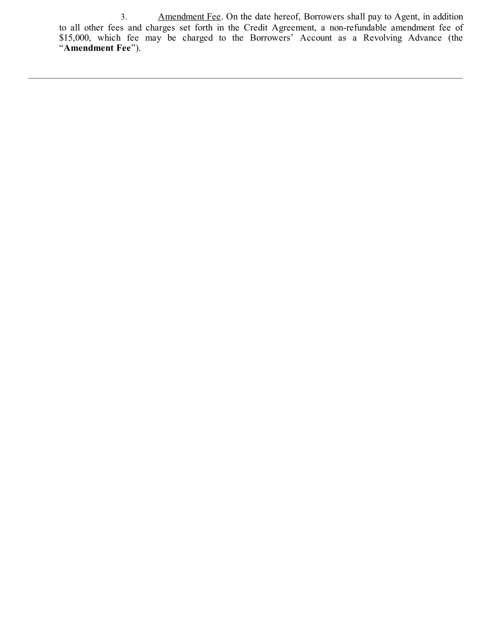3. Amendment Fee. On the date hereof, Borrowers shall pay to Agent, in addition to all other fees and charges set forth in the Credit Agreement, a non-refundable amendment fee of \$15,000, which fee may be charged to the Borrowers' Account as a Revolving Advance (the "Amendment Fee").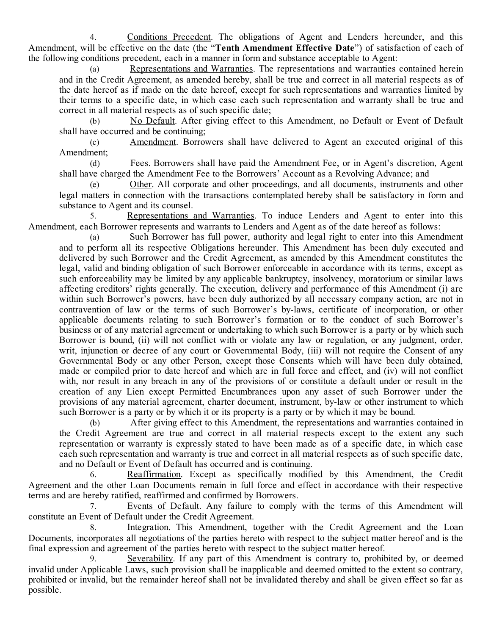4. Conditions Precedent. The obligations of Agent and Lenders hereunder, and this Amendment, will be effective on the date (the "Tenth Amendment Effective Date") of satisfaction of each of the following conditions precedent, each in a manner in form and substance acceptable to Agent:

(a) Representations and Warranties. The representations and warranties contained herein and in the Credit Agreement, as amended hereby, shall be true and correct in all material respects as of the date hereof as if made on the date hereof, except for such representations and warranties limited by their terms to a specific date, in which case each such representation and warranty shall be true and correct in all material respects as of such specific date;

(b) No Default. After giving effect to this Amendment, no Default or Event of Default shall have occurred and be continuing;

(c) Amendment. Borrowers shall have delivered to Agent an executed original of this Amendment;

(d) Fees. Borrowers shall have paid the Amendment Fee, or in Agent's discretion, Agent shall have charged the Amendment Fee to the Borrowers' Account as a Revolving Advance; and

(e) Other. All corporate and other proceedings, and all documents, instruments and other legal matters in connection with the transactions contemplated hereby shall be satisfactory in form and substance to Agent and its counsel.

5. Representations and Warranties. To induce Lenders and Agent to enter into this Amendment, each Borrower represents and warrants to Lenders and Agent as of the date hereof as follows:

(a) Such Borrower has full power, authority and legal right to enter into this Amendment and to perform all its respective Obligations hereunder. This Amendment has been duly executed and delivered by such Borrower and the Credit Agreement, as amended by this Amendment constitutes the legal, valid and binding obligation of such Borrower enforceable in accordance with its terms, except as such enforceability may be limited by any applicable bankruptcy, insolvency, moratorium or similar laws affecting creditors' rights generally. The execution, delivery and performance of this Amendment (i) are within such Borrower's powers, have been duly authorized by all necessary company action, are not in contravention of law or the terms of such Borrower's bylaws, certificate of incorporation, or other applicable documents relating to such Borrower's formation or to the conduct of such Borrower's business or of any material agreement or undertaking to which such Borrower is a party or by which such Borrower is bound, (ii) will not conflict with or violate any law or regulation, or any judgment, order, writ, injunction or decree of any court or Governmental Body, (iii) will not require the Consent of any Governmental Body or any other Person, except those Consents which will have been duly obtained, made or compiled prior to date hereof and which are in full force and effect, and (iv) will not conflict with, nor result in any breach in any of the provisions of or constitute a default under or result in the creation of any Lien except Permitted Encumbrances upon any asset of such Borrower under the provisions of any material agreement, charter document, instrument, by-law or other instrument to which such Borrower is a party or by which it or its property is a party or by which it may be bound.

(b) After giving effect to this Amendment, the representations and warranties contained in the Credit Agreement are true and correct in all material respects except to the extent any such representation or warranty is expressly stated to have been made as of a specific date, in which case each such representation and warranty is true and correct in all material respects as of such specific date, and no Default or Event of Default has occurred and is continuing.

6. Reaffirmation. Except as specifically modified by this Amendment, the Credit Agreement and the other Loan Documents remain in full force and effect in accordance with their respective terms and are hereby ratified, reaffirmed and confirmed by Borrowers.

7. Events of Default. Any failure to comply with the terms of this Amendment will constitute an Event of Default under the Credit Agreement.

Integration. This Amendment, together with the Credit Agreement and the Loan Documents, incorporates all negotiations of the parties hereto with respect to the subject matter hereof and is the final expression and agreement of the parties hereto with respect to the subject matter hereof.

9. Severability. If any part of this Amendment is contrary to, prohibited by, or deemed invalid under Applicable Laws, such provision shall be inapplicable and deemed omitted to the extent so contrary, prohibited or invalid, but the remainder hereof shall not be invalidated thereby and shall be given effect so far as possible.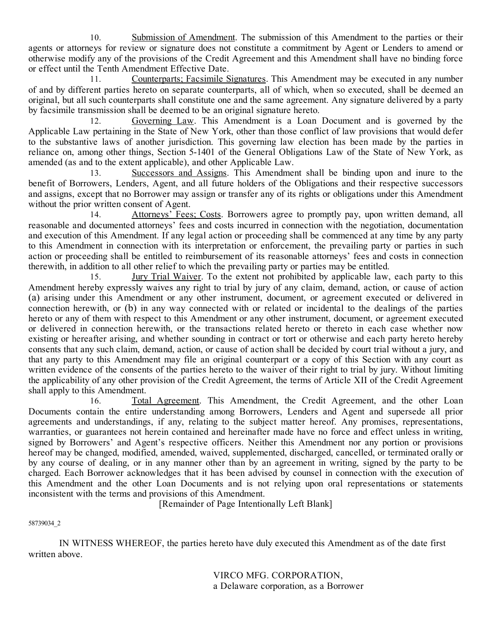10. Submission of Amendment. The submission of this Amendment to the parties or their agents or attorneys for review or signature does not constitute a commitment by Agent or Lenders to amend or otherwise modify any of the provisions of the Credit Agreement and this Amendment shall have no binding force or effect until the Tenth Amendment Effective Date.

11. Counterparts; Facsimile Signatures. This Amendment may be executed in any number of and by different parties hereto on separate counterparts, all of which, when so executed, shall be deemed an original, but all such counterparts shall constitute one and the same agreement. Any signature delivered by a party by facsimile transmission shall be deemed to be an original signature hereto.

12. Governing Law. This Amendment is a Loan Document and is governed by the Applicable Law pertaining in the State of New York, other than those conflict of law provisions that would defer to the substantive laws of another jurisdiction. This governing law election has been made by the parties in reliance on, among other things, Section 51401 of the General Obligations Law of the State of New York, as amended (as and to the extent applicable), and other Applicable Law.

13. Successors and Assigns. This Amendment shall be binding upon and inure to the benefit of Borrowers, Lenders, Agent, and all future holders of the Obligations and their respective successors and assigns, except that no Borrower may assign or transfer any of its rights or obligations under this Amendment without the prior written consent of Agent.

14. Attorneys' Fees; Costs. Borrowers agree to promptly pay, upon written demand, all reasonable and documented attorneys' fees and costs incurred in connection with the negotiation, documentation and execution of this Amendment. If any legal action or proceeding shall be commenced at any time by any party to this Amendment in connection with its interpretation or enforcement, the prevailing party or parties in such action or proceeding shall be entitled to reimbursement of its reasonable attorneys' fees and costs in connection therewith, in addition to all other relief to which the prevailing party or parties may be entitled.

15. Jury Trial Waiver. To the extent not prohibited by applicable law, each party to this Amendment hereby expressly waives any right to trial by jury of any claim, demand, action, or cause of action (a) arising under this Amendment or any other instrument, document, or agreement executed or delivered in connection herewith, or (b) in any way connected with or related or incidental to the dealings of the parties hereto or any of them with respect to this Amendment or any other instrument, document, or agreement executed or delivered in connection herewith, or the transactions related hereto or thereto in each case whether now existing or hereafter arising, and whether sounding in contract or tort or otherwise and each party hereto hereby consents that any such claim, demand, action, or cause of action shall be decided by court trial without a jury, and that any party to this Amendment may file an original counterpart or a copy of this Section with any court as written evidence of the consents of the parties hereto to the waiver of their right to trial by jury. Without limiting the applicability of any other provision of the Credit Agreement, the terms of Article XII of the Credit Agreement shall apply to this Amendment.

16. Total Agreement. This Amendment, the Credit Agreement, and the other Loan Documents contain the entire understanding among Borrowers, Lenders and Agent and supersede all prior agreements and understandings, if any, relating to the subject matter hereof. Any promises, representations, warranties, or guarantees not herein contained and hereinafter made have no force and effect unless in writing, signed by Borrowers' and Agent's respective officers. Neither this Amendment nor any portion or provisions hereof may be changed, modified, amended, waived, supplemented, discharged, cancelled, or terminated orally or by any course of dealing, or in any manner other than by an agreement in writing, signed by the party to be charged. Each Borrower acknowledges that it has been advised by counsel in connection with the execution of this Amendment and the other Loan Documents and is not relying upon oral representations or statements inconsistent with the terms and provisions of this Amendment.

[Remainder of Page Intentionally Left Blank]

58739034\_2

IN WITNESS WHEREOF, the parties hereto have duly executed this Amendment as of the date first written above.

> VIRCO MFG. CORPORATION, a Delaware corporation, as a Borrower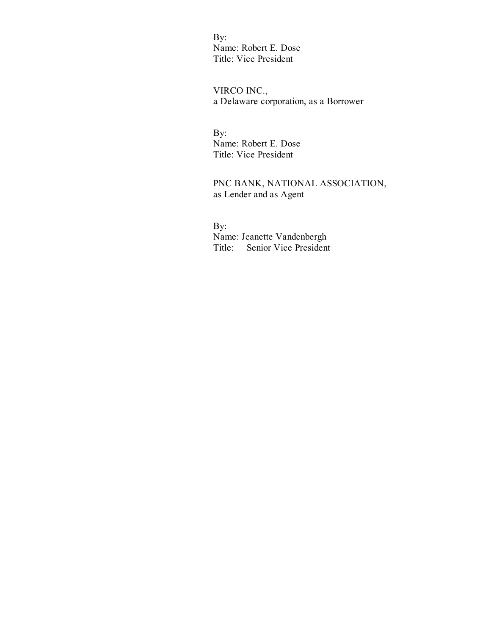By: Name: Robert E. Dose Title: Vice President

VIRCO INC., a Delaware corporation, as a Borrower

By: Name: Robert E. Dose Title: Vice President

PNC BANK, NATIONAL ASSOCIATION, as Lender and as Agent

By: Name: Jeanette Vandenbergh Title: Senior Vice President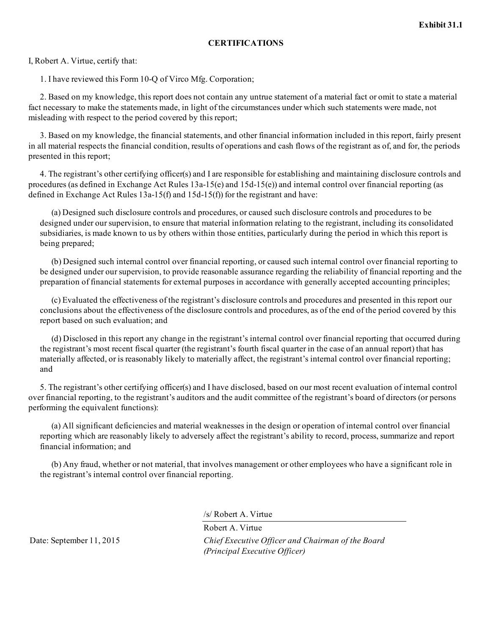#### **CERTIFICATIONS**

I, Robert A. Virtue, certify that:

1. I have reviewed this Form 10-Q of Virco Mfg. Corporation;

2. Based on my knowledge, this report does not contain any untrue statement of a material fact or omit to state a material fact necessary to make the statements made, in light of the circumstances under which such statements were made, not misleading with respect to the period covered by this report;

3. Based on my knowledge, the financial statements, and other financial information included in this report, fairly present in all material respects the financial condition, results of operations and cash flows of the registrant as of, and for, the periods presented in this report;

4. The registrant's other certifying officer(s) and I are responsible for establishing and maintaining disclosure controls and procedures (as defined in Exchange Act Rules  $13a-15(e)$  and  $15d-15(e)$ ) and internal control over financial reporting (as defined in Exchange Act Rules  $13a-15(f)$  and  $15d-15(f)$  for the registrant and have:

(a) Designed such disclosure controls and procedures, or caused such disclosure controls and procedures to be designed under oursupervision, to ensure that material information relating to the registrant, including its consolidated subsidiaries, is made known to us by others within those entities, particularly during the period in which this report is being prepared;

(b) Designed such internal control over financial reporting, or caused such internal control over financial reporting to be designed under oursupervision, to provide reasonable assurance regarding the reliability of financial reporting and the preparation of financial statements for external purposes in accordance with generally accepted accounting principles;

(c) Evaluated the effectiveness of the registrant's disclosure controls and procedures and presented in this report our conclusions about the effectiveness of the disclosure controls and procedures, as of the end of the period covered by this report based on such evaluation; and

(d) Disclosed in this report any change in the registrant's internal control over financial reporting that occurred during the registrant's most recent fiscal quarter (the registrant's fourth fiscal quarter in the case of an annual report) that has materially affected, or is reasonably likely to materially affect, the registrant's internal control over financial reporting; and

5. The registrant's other certifying officer(s) and I have disclosed, based on our most recent evaluation of internal control over financial reporting, to the registrant's auditors and the audit committee of the registrant's board of directors (or persons performing the equivalent functions):

(a) All significant deficiencies and material weaknesses in the design or operation of internal control over financial reporting which are reasonably likely to adversely affect the registrant's ability to record, process, summarize and report financial information; and

(b) Any fraud, whether or not material, that involves management or other employees who have a significant role in the registrant's internal control over financial reporting.

/s/ Robert A. Virtue

Robert A. Virtue

Date: September 11, 2015 Chief Executive Officer and Chairman of the Board (Principal Executive Officer)